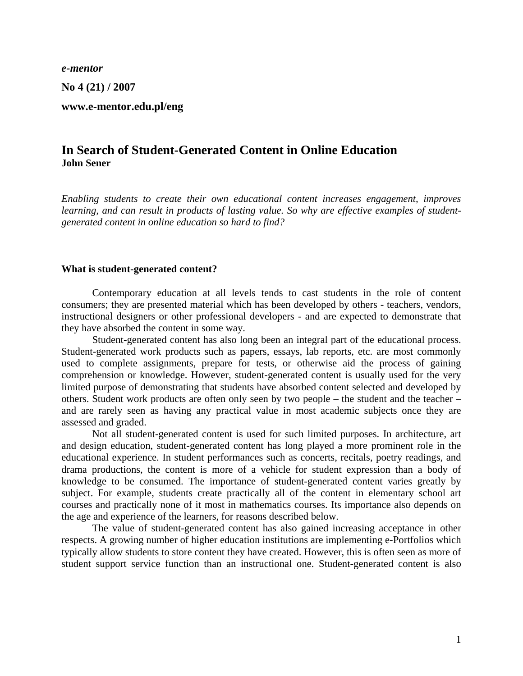*e-mentor* 

**No 4 (21) / 2007** 

**www.e-mentor.edu.pl/eng** 

# **In Search of Student-Generated Content in Online Education John Sener**

*Enabling students to create their own educational content increases engagement, improves learning, and can result in products of lasting value. So why are effective examples of studentgenerated content in online education so hard to find?* 

#### **What is student-generated content?**

Contemporary education at all levels tends to cast students in the role of content consumers; they are presented material which has been developed by others - teachers, vendors, instructional designers or other professional developers - and are expected to demonstrate that they have absorbed the content in some way.

Student-generated content has also long been an integral part of the educational process. Student-generated work products such as papers, essays, lab reports, etc. are most commonly used to complete assignments, prepare for tests, or otherwise aid the process of gaining comprehension or knowledge. However, student-generated content is usually used for the very limited purpose of demonstrating that students have absorbed content selected and developed by others. Student work products are often only seen by two people – the student and the teacher – and are rarely seen as having any practical value in most academic subjects once they are assessed and graded.

Not all student-generated content is used for such limited purposes. In architecture, art and design education, student-generated content has long played a more prominent role in the educational experience. In student performances such as concerts, recitals, poetry readings, and drama productions, the content is more of a vehicle for student expression than a body of knowledge to be consumed. The importance of student-generated content varies greatly by subject. For example, students create practically all of the content in elementary school art courses and practically none of it most in mathematics courses. Its importance also depends on the age and experience of the learners, for reasons described below.

The value of student-generated content has also gained increasing acceptance in other respects. A growing number of higher education institutions are implementing e-Portfolios which typically allow students to store content they have created. However, this is often seen as more of student support service function than an instructional one. Student-generated content is also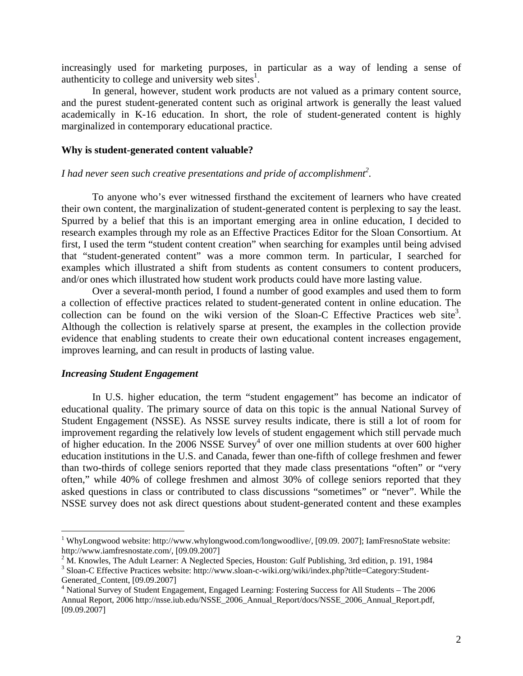increasingly used for marketing purposes, in particular as a way of lending a sense of authenticity to college and university web sites $<sup>1</sup>$  $<sup>1</sup>$  $<sup>1</sup>$ .</sup>

In general, however, student work products are not valued as a primary content source, and the purest student-generated content such as original artwork is generally the least valued academically in K-16 education. In short, the role of student-generated content is highly marginalized in contemporary educational practice.

### **Why is student-generated content valuable?**

## *I had never seen such creative presentations and pride of accomplishment[2](#page-1-1) .*

To anyone who's ever witnessed firsthand the excitement of learners who have created their own content, the marginalization of student-generated content is perplexing to say the least. Spurred by a belief that this is an important emerging area in online education, I decided to research examples through my role as an Effective Practices Editor for the Sloan Consortium. At first, I used the term "student content creation" when searching for examples until being advised that "student-generated content" was a more common term. In particular, I searched for examples which illustrated a shift from students as content consumers to content producers, and/or ones which illustrated how student work products could have more lasting value.

Over a several-month period, I found a number of good examples and used them to form a collection of effective practices related to student-generated content in online education. The collection can be found on the wiki version of the Sloan-C Effective Practices web site<sup>3</sup>. Although the collection is relatively sparse at present, the examples in the collection provide evidence that enabling students to create their own educational content increases engagement, improves learning, and can result in products of lasting value.

#### *Increasing Student Engagement*

1

In U.S. higher education, the term "student engagement" has become an indicator of educational quality. The primary source of data on this topic is the annual National Survey of Student Engagement (NSSE). As NSSE survey results indicate, there is still a lot of room for improvement regarding the relatively low levels of student engagement which still pervade much of higher education. In the 2006 NSSE Survey<sup>[4](#page-1-3)</sup> of over one million students at over 600 higher education institutions in the U.S. and Canada, fewer than one-fifth of college freshmen and fewer than two-thirds of college seniors reported that they made class presentations "often" or "very often," while 40% of college freshmen and almost 30% of college seniors reported that they asked questions in class or contributed to class discussions "sometimes" or "never". While the NSSE survey does not ask direct questions about student-generated content and these examples

<span id="page-1-0"></span><sup>&</sup>lt;sup>1</sup> WhyLongwood website: http://www.whylongwood.com/longwoodlive/, [09.09. 2007]; IamFresnoState website: http://www.iamfresnostate.com/, [09.09.2007]<br><sup>2</sup> M. Knowles, The Adult Learner: A Neglected Species, Houston: Gulf Publishing, 3rd edition, p. 191, 1984

<span id="page-1-1"></span>

<span id="page-1-2"></span><sup>&</sup>lt;sup>3</sup> Sloan-C Effective Practices website: http://www.sloan-c-wiki.org/wiki/index.php?title=Category:Student-Generated Content, [09.09.2007]

<span id="page-1-3"></span><sup>&</sup>lt;sup>4</sup> National Survey of Student Engagement, Engaged Learning: Fostering Success for All Students – The 2006 Annual Report, 2006 http://nsse.iub.edu/NSSE\_2006\_Annual\_Report/docs/NSSE\_2006\_Annual\_Report.pdf, [09.09.2007]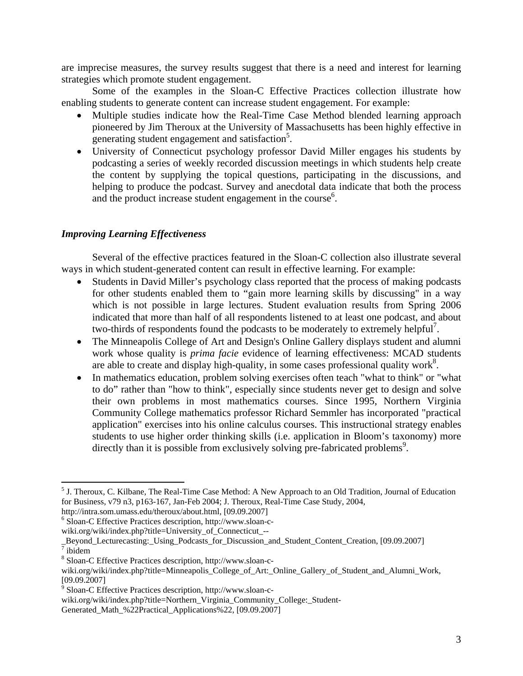are imprecise measures, the survey results suggest that there is a need and interest for learning strategies which promote student engagement.

Some of the examples in the Sloan-C Effective Practices collection illustrate how enabling students to generate content can increase student engagement. For example:

- Multiple studies indicate how the Real-Time Case Method blended learning approach pioneered by Jim Theroux at the University of Massachusetts has been highly effective in enerating student engagement and satisfaction<sup>5</sup>.
- University of Connecticut psychology professor David Miller engages his students by podcasting a series of weekly recorded discussion meetings in which students help create the content by supplying the topical questions, participating in the discussions, and helping to produce the podcast. Survey and anecdotal data indicate that both the process and the product increase student engagement in the course<sup>[6](#page-2-1)</sup>.

## *Improving Learning Effectiveness*

Several of the effective practices featured in the Sloan-C collection also illustrate several ways in which student-generated content can result in effective learning. For example:

- Students in David Miller's psychology class reported that the process of making podcasts for other students enabled them to "gain more learning skills by discussing" in a way which is not possible in large lectures. Student evaluation results from Spring 2006 indicated that more than half of all respondents listened to at least one podcast, and about two-thirds of respondents found the podcasts to be moderately to extremely helpful<sup>[7](#page-2-2)</sup>.
- The Minneapolis College of Art and Design's Online Gallery displays student and alumni work whose quality is *prima facie* evidence of learning effectiveness: MCAD students are able to create and display high-quality, in some cases professional quality work<sup>[8](#page-2-3)</sup>.
- In mathematics education, problem solving exercises often teach "what to think" or "what to do" rather than "how to think", especially since students never get to design and solve their own problems in most mathematics courses. Since 1995, Northern Virginia Community College mathematics professor Richard Semmler has incorporated "practical application" exercises into his online calculus courses. This instructional strategy enables students to use higher order thinking skills (i.e. application in Bloom's taxonomy) more directly than it is possible from exclusively solving pre-fabricated problems<sup>[9](#page-2-4)</sup>.

1

<span id="page-2-0"></span><sup>&</sup>lt;sup>5</sup> J. Theroux, C. Kilbane, The Real-Time Case Method: A New Approach to an Old Tradition, Journal of Education for Business, v79 n3, p163-167, Jan-Feb 2004; J. Theroux, Real-Time Case Study, 2004,

http://intra.som.umass.edu/theroux/about.html, [09.09.2007]<br><sup>6</sup> Sloan-C Effective Practices description, http://www.sloan-c-

<span id="page-2-1"></span>

wiki.org/wiki/index.php?title=University\_of\_Connecticut\_--

Beyond\_Lecturecasting:\_Using\_Podcasts\_for\_Discussion\_and\_Student\_Content\_Creation, [09.09.2007]

<span id="page-2-3"></span><span id="page-2-2"></span> $8$  Sloan-C Effective Practices description, http://www.sloan-c-

wiki.org/wiki/index.php?title=Minneapolis\_College\_of\_Art:\_Online\_Gallery\_of\_Student\_and\_Alumni\_Work,<br>[09.09.2007]

<span id="page-2-4"></span><sup>&</sup>lt;sup>9</sup> Sloan-C Effective Practices description, http://www.sloan-c-

wiki.org/wiki/index.php?title=Northern\_Virginia\_Community\_College:\_Student-

Generated\_Math\_%22Practical\_Applications%22, [09.09.2007]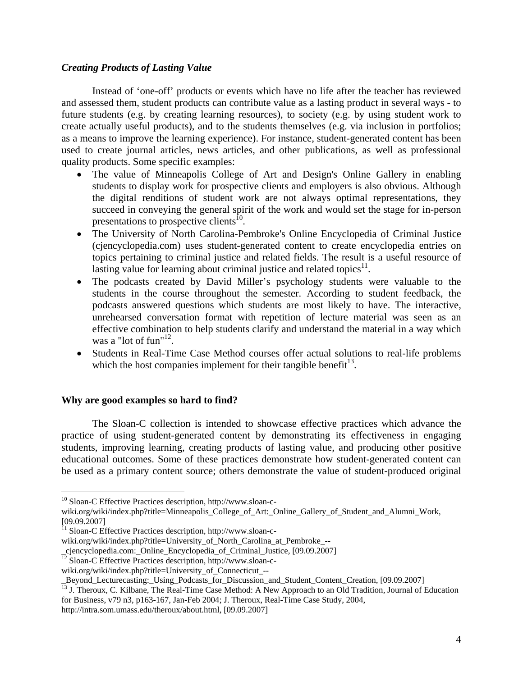## *Creating Products of Lasting Value*

Instead of 'one-off' products or events which have no life after the teacher has reviewed and assessed them, student products can contribute value as a lasting product in several ways - to future students (e.g. by creating learning resources), to society (e.g. by using student work to create actually useful products), and to the students themselves (e.g. via inclusion in portfolios; as a means to improve the learning experience). For instance, student-generated content has been used to create journal articles, news articles, and other publications, as well as professional quality products. Some specific examples:

- The value of Minneapolis College of Art and Design's Online Gallery in enabling students to display work for prospective clients and employers is also obvious. Although the digital renditions of student work are not always optimal representations, they succeed in conveying the general spirit of the work and would set the stage for in-person presentations to prospective clients<sup>10</sup>.
- The University of North Carolina-Pembroke's Online Encyclopedia of Criminal Justice (cjencyclopedia.com) uses student-generated content to create encyclopedia entries on topics pertaining to criminal justice and related fields. The result is a useful resource of lasting value for learning about criminal justice and related topics $^{11}$ .
- The podcasts created by David Miller's psychology students were valuable to the students in the course throughout the semester. According to student feedback, the podcasts answered questions which students are most likely to have. The interactive, unrehearsed conversation format with repetition of lecture material was seen as an effective combination to help students clarify and understand the material in a way which was a "lot of fun" $^{12}$ .
- Students in Real-Time Case Method courses offer actual solutions to real-life problems which the host companies implement for their tangible benefit $13$ .

### **Why are good examples so hard to find?**

1

The Sloan-C collection is intended to showcase effective practices which advance the practice of using student-generated content by demonstrating its effectiveness in engaging students, improving learning, creating products of lasting value, and producing other positive educational outcomes. Some of these practices demonstrate how student-generated content can be used as a primary content source; others demonstrate the value of student-produced original

<span id="page-3-0"></span><sup>10</sup> Sloan-C Effective Practices description, http://www.sloan-c-

wiki.org/wiki/index.php?title=Minneapolis\_College\_of\_Art:\_Online\_Gallery\_of\_Student\_and\_Alumni\_Work, [09.09.2007]<br><sup>11</sup> Sloan-C Effective Practices description, http://www.sloan-c-

<span id="page-3-1"></span>

wiki.org/wiki/index.php?title=University of North Carolina at Pembroke --

\_cjencyclopedia.com:\_Online\_Encyclopedia\_of\_Criminal\_Justice, [09.09.2007] <sup>12</sup> Sloan-C Effective Practices description, http://www.sloan-c-

<span id="page-3-2"></span>

wiki.org/wiki/index.php?title=University\_of\_Connecticut\_--

<span id="page-3-3"></span>

Beyond\_Lecturecasting:\_Using\_Podcasts\_for\_Discussion\_and\_Student\_Content\_Creation, [09.09.2007]  $^{13}$  J. Theroux, C. Kilbane, The Real-Time Case Method: A New Approach to an Old Tradition, Journal of Education for Business, v79 n3, p163-167, Jan-Feb 2004; J. Theroux, Real-Time Case Study, 2004,

http://intra.som.umass.edu/theroux/about.html, [09.09.2007]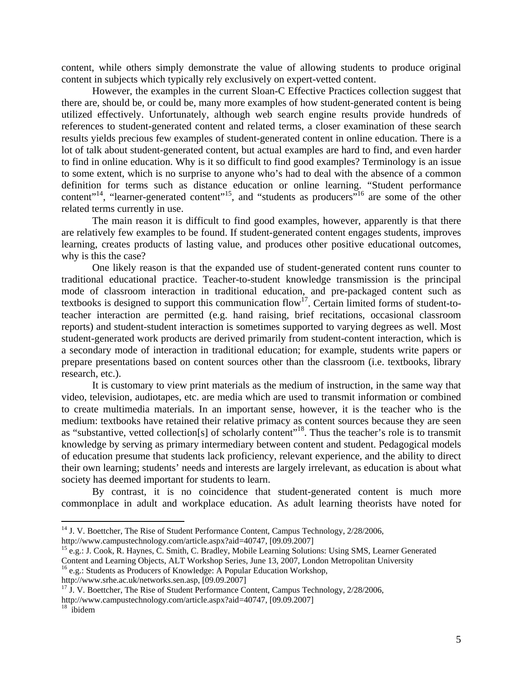content, while others simply demonstrate the value of allowing students to produce original content in subjects which typically rely exclusively on expert-vetted content.

However, the examples in the current Sloan-C Effective Practices collection suggest that there are, should be, or could be, many more examples of how student-generated content is being utilized effectively. Unfortunately, although web search engine results provide hundreds of references to student-generated content and related terms, a closer examination of these search results yields precious few examples of student-generated content in online education. There is a lot of talk about student-generated content, but actual examples are hard to find, and even harder to find in online education. Why is it so difficult to find good examples? Terminology is an issue to some extent, which is no surprise to anyone who's had to deal with the absence of a common definition for terms such as distance education or online learning. "Student performance content"<sup>14</sup>, "learner-generated content"<sup>15</sup>, and "students as producers"<sup>16</sup> are some of the other related terms currently in use.

The main reason it is difficult to find good examples, however, apparently is that there are relatively few examples to be found. If student-generated content engages students, improves learning, creates products of lasting value, and produces other positive educational outcomes, why is this the case?

One likely reason is that the expanded use of student-generated content runs counter to traditional educational practice. Teacher-to-student knowledge transmission is the principal mode of classroom interaction in traditional education, and pre-packaged content such as textbooks is designed to support this communication flow<sup>17</sup>. Certain limited forms of student-toteacher interaction are permitted (e.g. hand raising, brief recitations, occasional classroom reports) and student-student interaction is sometimes supported to varying degrees as well. Most student-generated work products are derived primarily from student-content interaction, which is a secondary mode of interaction in traditional education; for example, students write papers or prepare presentations based on content sources other than the classroom (i.e. textbooks, library research, etc.).

It is customary to view print materials as the medium of instruction, in the same way that video, television, audiotapes, etc. are media which are used to transmit information or combined to create multimedia materials. In an important sense, however, it is the teacher who is the medium: textbooks have retained their relative primacy as content sources because they are seen as "substantive, vetted collection[s] of scholarly content"<sup>18</sup>. Thus the teacher's role is to transmit knowledge by serving as primary intermediary between content and student. Pedagogical models of education presume that students lack proficiency, relevant experience, and the ability to direct their own learning; students' needs and interests are largely irrelevant, as education is about what society has deemed important for students to learn.

By contrast, it is no coincidence that student-generated content is much more commonplace in adult and workplace education. As adult learning theorists have noted for

<span id="page-4-2"></span>

<span id="page-4-3"></span> $h^{\frac{17}{17}}$  J. V. Boettcher, The Rise of Student Performance Content, Campus Technology, 2/28/2006,

1

<span id="page-4-0"></span><sup>&</sup>lt;sup>14</sup> J. V. Boettcher, The Rise of Student Performance Content, Campus Technology, 2/28/2006, http://www.campustechnology.com/article.aspx?aid=40747, [09.09.2007]<br><sup>15</sup> e.g.: J. Cook, R. Haynes, C. Smith, C. Bradley, Mobile Learning Solutions: Using SMS, Learner Generated

<span id="page-4-1"></span>Content and Learning Objects, ALT Workshop Series, June 13, 2007, London Metropolitan University <sup>16</sup> e.g.: Students as Producers of Knowledge: A Popular Education Workshop, http://www.srhe.ac.uk/networks.sen.asp, [09.09.2

http://www.campustechnology.com/article.aspx?aid=40747, [09.09.2007] 18 ibidem

<span id="page-4-4"></span>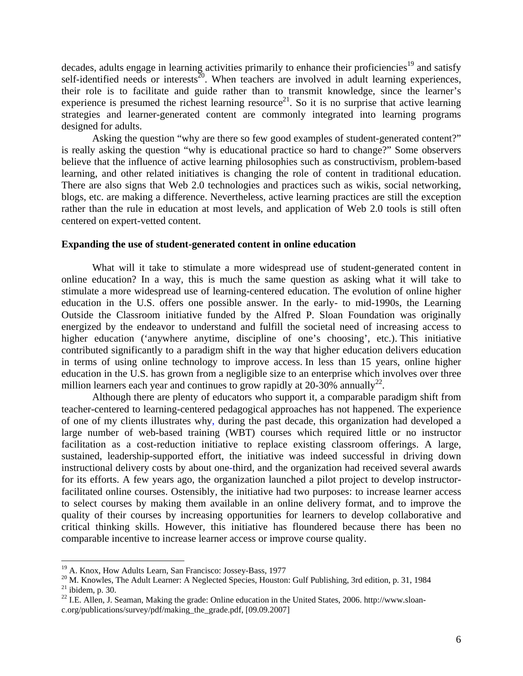decades, adults engage in learning activities primarily to enhance their proficiencies<sup>19</sup> and satisfy self-identified needs or interests<sup>20</sup>. When teachers are involved in adult learning experiences, their role is to facilitate and guide rather than to transmit knowledge, since the learner's experience is presumed the richest learning resource<sup>21</sup>. So it is no surprise that active learning strategies and learner-generated content are commonly integrated into learning programs designed for adults.

Asking the question "why are there so few good examples of student-generated content?" is really asking the question "why is educational practice so hard to change?" Some observers believe that the influence of active learning philosophies such as constructivism, problem-based learning, and other related initiatives is changing the role of content in traditional education. There are also signs that Web 2.0 technologies and practices such as wikis, social networking, blogs, etc. are making a difference. Nevertheless, active learning practices are still the exception rather than the rule in education at most levels, and application of Web 2.0 tools is still often centered on expert-vetted content.

## **Expanding the use of student-generated content in online education**

What will it take to stimulate a more widespread use of student-generated content in online education? In a way, this is much the same question as asking what it will take to stimulate a more widespread use of learning-centered education. The evolution of online higher education in the U.S. offers one possible answer. In the early- to mid-1990s, the Learning Outside the Classroom initiative funded by the Alfred P. Sloan Foundation was originally energized by the endeavor to understand and fulfill the societal need of increasing access to higher education ('anywhere anytime, discipline of one's choosing', etc.). This initiative contributed significantly to a paradigm shift in the way that higher education delivers education in terms of using online technology to improve access. In less than 15 years, online higher education in the U.S. has grown from a negligible size to an enterprise which involves over three million learners each year and continues to grow rapidly at 20-30% annually<sup>22</sup>.

Although there are plenty of educators who support it, a comparable paradigm shift from teacher-centered to learning-centered pedagogical approaches has not happened. The experience of one of my clients illustrates why, during the past decade, this organization had developed a large number of web-based training (WBT) courses which required little or no instructor facilitation as a cost-reduction initiative to replace existing classroom offerings. A large, sustained, leadership-supported effort, the initiative was indeed successful in driving down instructional delivery costs by about one-third, and the organization had received several awards for its efforts. A few years ago, the organization launched a pilot project to develop instructorfacilitated online courses. Ostensibly, the initiative had two purposes: to increase learner access to select courses by making them available in an online delivery format, and to improve the quality of their courses by increasing opportunities for learners to develop collaborative and critical thinking skills. However, this initiative has floundered because there has been no comparable incentive to increase learner access or improve course quality.

 $\overline{a}$ 

<span id="page-5-1"></span><span id="page-5-0"></span>

<sup>&</sup>lt;sup>19</sup> A. Knox, How Adults Learn, San Francisco: Jossey-Bass, 1977<br><sup>20</sup> M. Knowles, The Adult Learner: A Neglected Species, Houston: Gulf Publishing, 3rd edition, p. 31, 1984<br><sup>21</sup> ibidem, p. 30.<br><sup>22</sup> I.E. Allen, J. Seaman,

<span id="page-5-3"></span><span id="page-5-2"></span>c.org/publications/survey/pdf/making\_the\_grade.pdf, [09.09.2007]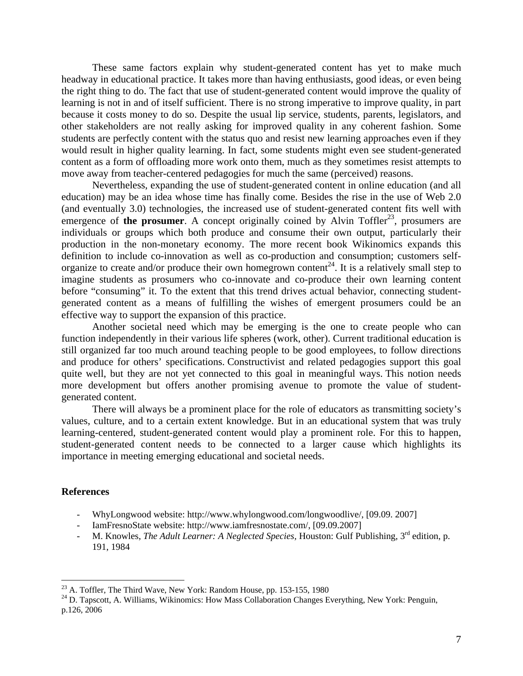These same factors explain why student-generated content has yet to make much headway in educational practice. It takes more than having enthusiasts, good ideas, or even being the right thing to do. The fact that use of student-generated content would improve the quality of learning is not in and of itself sufficient. There is no strong imperative to improve quality, in part because it costs money to do so. Despite the usual lip service, students, parents, legislators, and other stakeholders are not really asking for improved quality in any coherent fashion. Some students are perfectly content with the status quo and resist new learning approaches even if they would result in higher quality learning. In fact, some students might even see student-generated content as a form of offloading more work onto them, much as they sometimes resist attempts to move away from teacher-centered pedagogies for much the same (perceived) reasons.

Nevertheless, expanding the use of student-generated content in online education (and all education) may be an idea whose time has finally come. Besides the rise in the use of Web 2.0 (and eventually 3.0) technologies, the increased use of student-generated content fits well with emergence of **the prosumer**. A concept originally coined by Alvin Toffler<sup>23</sup>, prosumers are individuals or groups which both produce and consume their own output, particularly their production in the non-monetary economy. The more recent book Wikinomics expands this definition to include co-innovation as well as co-production and consumption; customers selforganize to create and/or produce their own homegrown content<sup>24</sup>. It is a relatively small step to imagine students as prosumers who co-innovate and co-produce their own learning content before "consuming" it. To the extent that this trend drives actual behavior, connecting studentgenerated content as a means of fulfilling the wishes of emergent prosumers could be an effective way to support the expansion of this practice.

Another societal need which may be emerging is the one to create people who can function independently in their various life spheres (work, other). Current traditional education is still organized far too much around teaching people to be good employees, to follow directions and produce for others' specifications. Constructivist and related pedagogies support this goal quite well, but they are not yet connected to this goal in meaningful ways. This notion needs more development but offers another promising avenue to promote the value of studentgenerated content.

There will always be a prominent place for the role of educators as transmitting society's values, culture, and to a certain extent knowledge. But in an educational system that was truly learning-centered, student-generated content would play a prominent role. For this to happen, student-generated content needs to be connected to a larger cause which highlights its importance in meeting emerging educational and societal needs.

#### **References**

 $\overline{a}$ 

- WhyLongwood website: http://www.whylongwood.com/longwoodlive/, [09.09. 2007]
- IamFresnoState website: http://www.iamfresnostate.com/, [09.09.2007]
- M. Knowles, *The Adult Learner: A Neglected Species*, Houston: Gulf Publishing, 3<sup>rd</sup> edition. p. 191, 1984

<span id="page-6-1"></span><span id="page-6-0"></span>

<sup>&</sup>lt;sup>23</sup> A. Toffler, The Third Wave, New York: Random House, pp. 153-155, 1980<br><sup>24</sup> D. Tapscott, A. Williams, Wikinomics: How Mass Collaboration Changes Everything, New York: Penguin, p.126, 2006